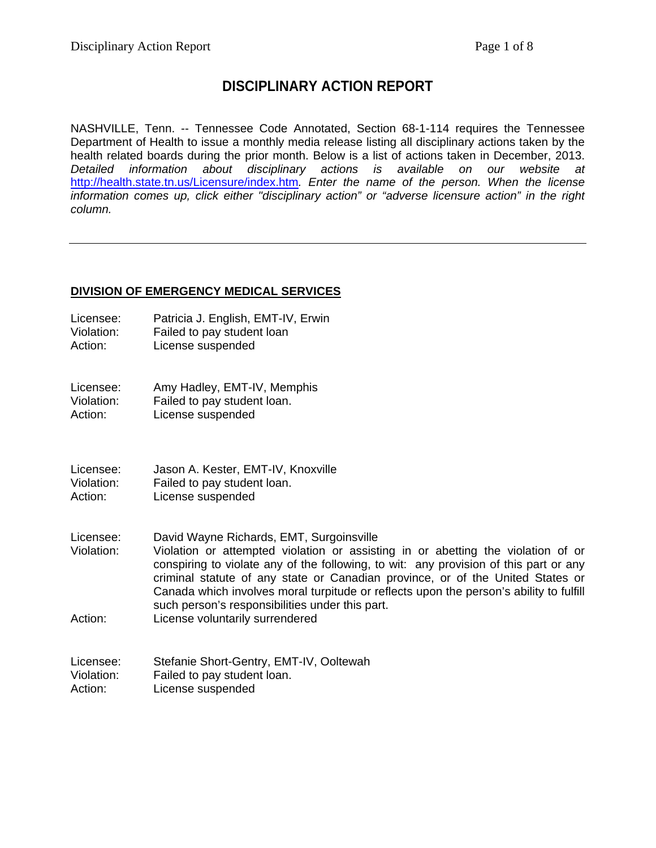# **DISCIPLINARY ACTION REPORT**

NASHVILLE, Tenn. -- Tennessee Code Annotated, Section 68-1-114 requires the Tennessee Department of Health to issue a monthly media release listing all disciplinary actions taken by the health related boards during the prior month. Below is a list of actions taken in December, 2013. *Detailed information about disciplinary actions is available on our website at*  <http://health.state.tn.us/Licensure/index.htm>*. Enter the name of the person. When the license information comes up, click either "disciplinary action" or "adverse licensure action" in the right column.*

### **DIVISION OF EMERGENCY MEDICAL SERVICES**

- Licensee: Patricia J. English, EMT-IV, Erwin Violation: Failed to pay student loan Action: License suspended
- Licensee: Amy Hadley, EMT-IV, Memphis Violation: Failed to pay student loan. Action: License suspended

Licensee: Jason A. Kester, EMT-IV, Knoxville Violation: Failed to pay student loan. Action: License suspended

- Licensee: David Wayne Richards, EMT, Surgoinsville
- Violation: Violation or attempted violation or assisting in or abetting the violation of or conspiring to violate any of the following, to wit: any provision of this part or any criminal statute of any state or Canadian province, or of the United States or Canada which involves moral turpitude or reflects upon the person's ability to fulfill such person's responsibilities under this part. Action: License voluntarily surrendered
- 

Licensee: Stefanie Short-Gentry, EMT-IV, Ooltewah Violation: Failed to pay student loan. Action: License suspended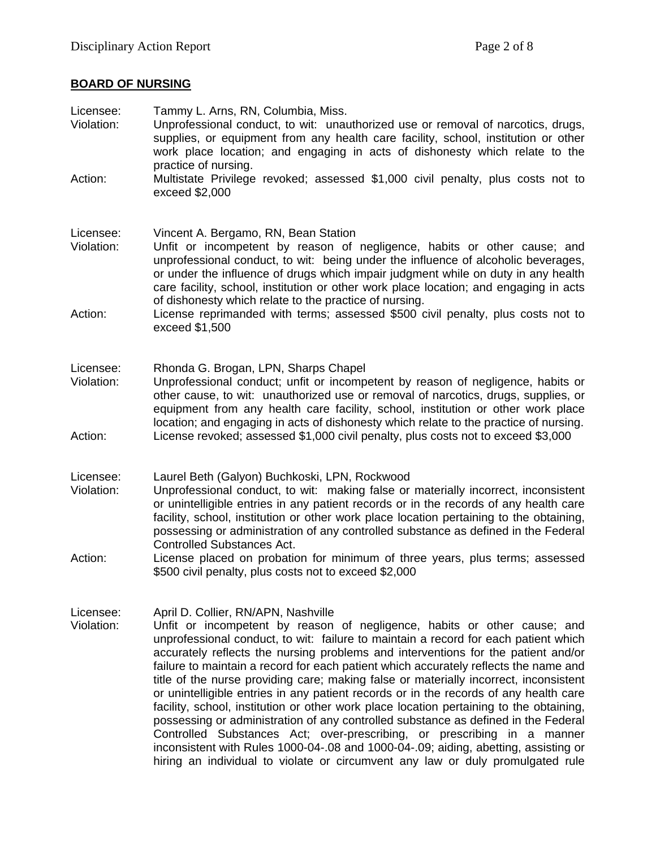## **BOARD OF NURSING**

| Licensee:<br>Violation: | Tammy L. Arns, RN, Columbia, Miss.<br>Unprofessional conduct, to wit: unauthorized use or removal of narcotics, drugs,<br>supplies, or equipment from any health care facility, school, institution or other<br>work place location; and engaging in acts of dishonesty which relate to the<br>practice of nursing.                                                                                                                                                                                                                                                                                                                                                                                                                                                                                                                                                                                                      |
|-------------------------|--------------------------------------------------------------------------------------------------------------------------------------------------------------------------------------------------------------------------------------------------------------------------------------------------------------------------------------------------------------------------------------------------------------------------------------------------------------------------------------------------------------------------------------------------------------------------------------------------------------------------------------------------------------------------------------------------------------------------------------------------------------------------------------------------------------------------------------------------------------------------------------------------------------------------|
| Action:                 | Multistate Privilege revoked; assessed \$1,000 civil penalty, plus costs not to<br>exceed \$2,000                                                                                                                                                                                                                                                                                                                                                                                                                                                                                                                                                                                                                                                                                                                                                                                                                        |
| Licensee:<br>Violation: | Vincent A. Bergamo, RN, Bean Station<br>Unfit or incompetent by reason of negligence, habits or other cause; and<br>unprofessional conduct, to wit: being under the influence of alcoholic beverages,<br>or under the influence of drugs which impair judgment while on duty in any health<br>care facility, school, institution or other work place location; and engaging in acts<br>of dishonesty which relate to the practice of nursing.                                                                                                                                                                                                                                                                                                                                                                                                                                                                            |
| Action:                 | License reprimanded with terms; assessed \$500 civil penalty, plus costs not to<br>exceed \$1,500                                                                                                                                                                                                                                                                                                                                                                                                                                                                                                                                                                                                                                                                                                                                                                                                                        |
| Licensee:<br>Violation: | Rhonda G. Brogan, LPN, Sharps Chapel<br>Unprofessional conduct; unfit or incompetent by reason of negligence, habits or<br>other cause, to wit: unauthorized use or removal of narcotics, drugs, supplies, or<br>equipment from any health care facility, school, institution or other work place<br>location; and engaging in acts of dishonesty which relate to the practice of nursing.                                                                                                                                                                                                                                                                                                                                                                                                                                                                                                                               |
| Action:                 | License revoked; assessed \$1,000 civil penalty, plus costs not to exceed \$3,000                                                                                                                                                                                                                                                                                                                                                                                                                                                                                                                                                                                                                                                                                                                                                                                                                                        |
| Licensee:<br>Violation: | Laurel Beth (Galyon) Buchkoski, LPN, Rockwood<br>Unprofessional conduct, to wit: making false or materially incorrect, inconsistent<br>or unintelligible entries in any patient records or in the records of any health care<br>facility, school, institution or other work place location pertaining to the obtaining,<br>possessing or administration of any controlled substance as defined in the Federal<br><b>Controlled Substances Act.</b>                                                                                                                                                                                                                                                                                                                                                                                                                                                                       |
| Action:                 | License placed on probation for minimum of three years, plus terms; assessed<br>\$500 civil penalty, plus costs not to exceed \$2,000                                                                                                                                                                                                                                                                                                                                                                                                                                                                                                                                                                                                                                                                                                                                                                                    |
| Licensee:<br>Violation: | April D. Collier, RN/APN, Nashville<br>Unfit or incompetent by reason of negligence, habits or other cause; and<br>unprofessional conduct, to wit: failure to maintain a record for each patient which<br>accurately reflects the nursing problems and interventions for the patient and/or<br>failure to maintain a record for each patient which accurately reflects the name and<br>title of the nurse providing care; making false or materially incorrect, inconsistent<br>or unintelligible entries in any patient records or in the records of any health care<br>facility, school, institution or other work place location pertaining to the obtaining,<br>possessing or administration of any controlled substance as defined in the Federal<br>Controlled Substances Act; over-prescribing, or prescribing in a manner<br>inconsistent with Rules 1000-04-.08 and 1000-04-.09; aiding, abetting, assisting or |

hiring an individual to violate or circumvent any law or duly promulgated rule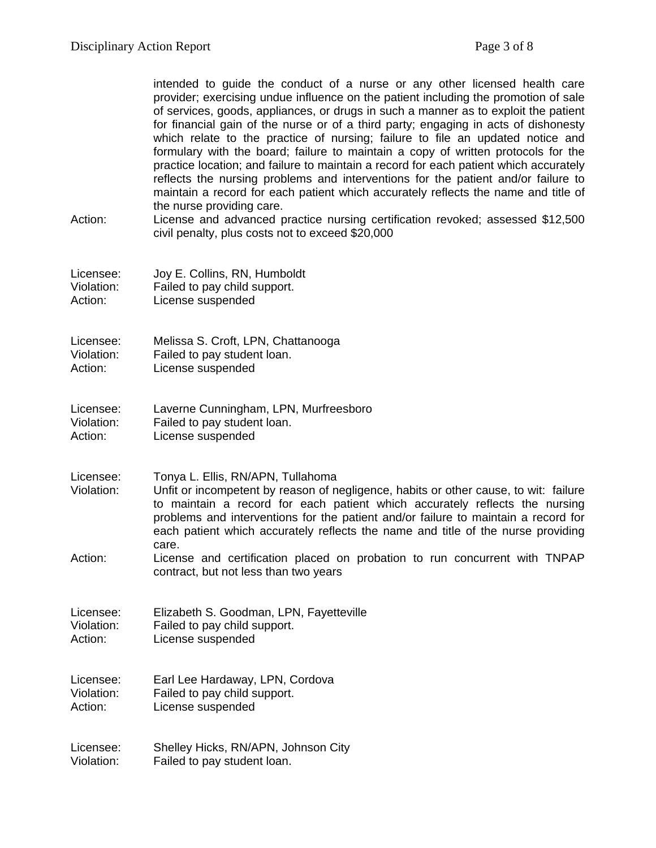|                         | intended to guide the conduct of a nurse or any other licensed health care<br>provider; exercising undue influence on the patient including the promotion of sale<br>of services, goods, appliances, or drugs in such a manner as to exploit the patient<br>for financial gain of the nurse or of a third party; engaging in acts of dishonesty<br>which relate to the practice of nursing; failure to file an updated notice and<br>formulary with the board; failure to maintain a copy of written protocols for the<br>practice location; and failure to maintain a record for each patient which accurately<br>reflects the nursing problems and interventions for the patient and/or failure to<br>maintain a record for each patient which accurately reflects the name and title of<br>the nurse providing care. |
|-------------------------|-------------------------------------------------------------------------------------------------------------------------------------------------------------------------------------------------------------------------------------------------------------------------------------------------------------------------------------------------------------------------------------------------------------------------------------------------------------------------------------------------------------------------------------------------------------------------------------------------------------------------------------------------------------------------------------------------------------------------------------------------------------------------------------------------------------------------|
| Action:                 | License and advanced practice nursing certification revoked; assessed \$12,500<br>civil penalty, plus costs not to exceed \$20,000                                                                                                                                                                                                                                                                                                                                                                                                                                                                                                                                                                                                                                                                                      |
| Licensee:               | Joy E. Collins, RN, Humboldt                                                                                                                                                                                                                                                                                                                                                                                                                                                                                                                                                                                                                                                                                                                                                                                            |
| Violation:              | Failed to pay child support.                                                                                                                                                                                                                                                                                                                                                                                                                                                                                                                                                                                                                                                                                                                                                                                            |
| Action:                 | License suspended                                                                                                                                                                                                                                                                                                                                                                                                                                                                                                                                                                                                                                                                                                                                                                                                       |
| Licensee:               | Melissa S. Croft, LPN, Chattanooga                                                                                                                                                                                                                                                                                                                                                                                                                                                                                                                                                                                                                                                                                                                                                                                      |
| Violation:              | Failed to pay student loan.                                                                                                                                                                                                                                                                                                                                                                                                                                                                                                                                                                                                                                                                                                                                                                                             |
| Action:                 | License suspended                                                                                                                                                                                                                                                                                                                                                                                                                                                                                                                                                                                                                                                                                                                                                                                                       |
| Licensee:               | Laverne Cunningham, LPN, Murfreesboro                                                                                                                                                                                                                                                                                                                                                                                                                                                                                                                                                                                                                                                                                                                                                                                   |
| Violation:              | Failed to pay student loan.                                                                                                                                                                                                                                                                                                                                                                                                                                                                                                                                                                                                                                                                                                                                                                                             |
| Action:                 | License suspended                                                                                                                                                                                                                                                                                                                                                                                                                                                                                                                                                                                                                                                                                                                                                                                                       |
| Licensee:<br>Violation: | Tonya L. Ellis, RN/APN, Tullahoma<br>Unfit or incompetent by reason of negligence, habits or other cause, to wit: failure<br>to maintain a record for each patient which accurately reflects the nursing<br>problems and interventions for the patient and/or failure to maintain a record for<br>each patient which accurately reflects the name and title of the nurse providing<br>care.                                                                                                                                                                                                                                                                                                                                                                                                                             |
| Action:                 | License and certification placed on probation to run concurrent with TNPAP<br>contract, but not less than two years                                                                                                                                                                                                                                                                                                                                                                                                                                                                                                                                                                                                                                                                                                     |
| Licensee:               | Elizabeth S. Goodman, LPN, Fayetteville                                                                                                                                                                                                                                                                                                                                                                                                                                                                                                                                                                                                                                                                                                                                                                                 |
| Violation:              | Failed to pay child support.                                                                                                                                                                                                                                                                                                                                                                                                                                                                                                                                                                                                                                                                                                                                                                                            |
| Action:                 | License suspended                                                                                                                                                                                                                                                                                                                                                                                                                                                                                                                                                                                                                                                                                                                                                                                                       |
| Licensee:               | Earl Lee Hardaway, LPN, Cordova                                                                                                                                                                                                                                                                                                                                                                                                                                                                                                                                                                                                                                                                                                                                                                                         |
| Violation:              | Failed to pay child support.                                                                                                                                                                                                                                                                                                                                                                                                                                                                                                                                                                                                                                                                                                                                                                                            |
| Action:                 | License suspended                                                                                                                                                                                                                                                                                                                                                                                                                                                                                                                                                                                                                                                                                                                                                                                                       |
| Licensee:               | Shelley Hicks, RN/APN, Johnson City                                                                                                                                                                                                                                                                                                                                                                                                                                                                                                                                                                                                                                                                                                                                                                                     |
| Violation:              | Failed to pay student loan.                                                                                                                                                                                                                                                                                                                                                                                                                                                                                                                                                                                                                                                                                                                                                                                             |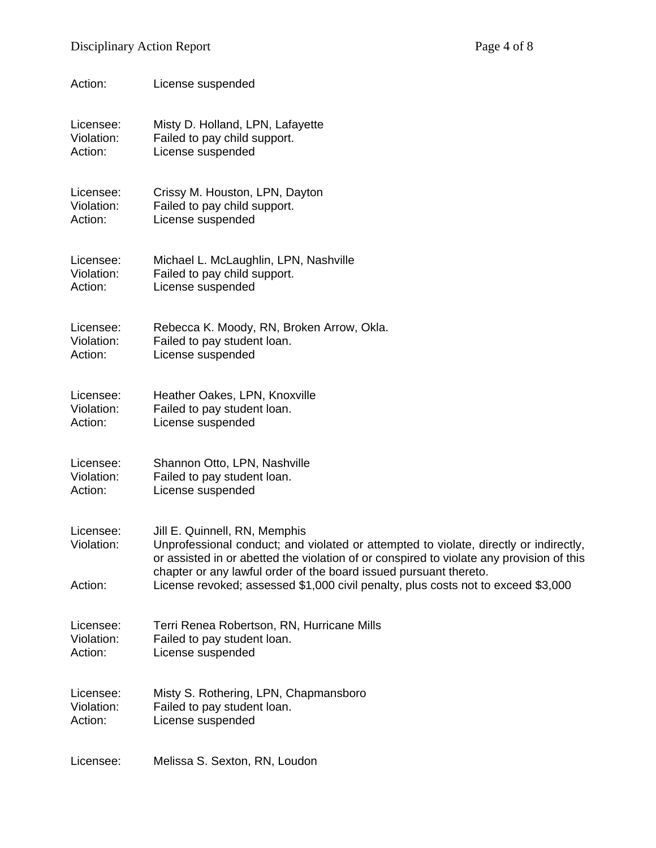| Action:                            | License suspended                                                                                                                                                                                                                                                                                                                                                            |
|------------------------------------|------------------------------------------------------------------------------------------------------------------------------------------------------------------------------------------------------------------------------------------------------------------------------------------------------------------------------------------------------------------------------|
| Licensee:                          | Misty D. Holland, LPN, Lafayette                                                                                                                                                                                                                                                                                                                                             |
| Violation:                         | Failed to pay child support.                                                                                                                                                                                                                                                                                                                                                 |
| Action:                            | License suspended                                                                                                                                                                                                                                                                                                                                                            |
| Licensee:                          | Crissy M. Houston, LPN, Dayton                                                                                                                                                                                                                                                                                                                                               |
| Violation:                         | Failed to pay child support.                                                                                                                                                                                                                                                                                                                                                 |
| Action:                            | License suspended                                                                                                                                                                                                                                                                                                                                                            |
| Licensee:                          | Michael L. McLaughlin, LPN, Nashville                                                                                                                                                                                                                                                                                                                                        |
| Violation:                         | Failed to pay child support.                                                                                                                                                                                                                                                                                                                                                 |
| Action:                            | License suspended                                                                                                                                                                                                                                                                                                                                                            |
| Licensee:                          | Rebecca K. Moody, RN, Broken Arrow, Okla.                                                                                                                                                                                                                                                                                                                                    |
| Violation:                         | Failed to pay student loan.                                                                                                                                                                                                                                                                                                                                                  |
| Action:                            | License suspended                                                                                                                                                                                                                                                                                                                                                            |
| Licensee:                          | Heather Oakes, LPN, Knoxville                                                                                                                                                                                                                                                                                                                                                |
| Violation:                         | Failed to pay student loan.                                                                                                                                                                                                                                                                                                                                                  |
| Action:                            | License suspended                                                                                                                                                                                                                                                                                                                                                            |
| Licensee:                          | Shannon Otto, LPN, Nashville                                                                                                                                                                                                                                                                                                                                                 |
| Violation:                         | Failed to pay student loan.                                                                                                                                                                                                                                                                                                                                                  |
| Action:                            | License suspended                                                                                                                                                                                                                                                                                                                                                            |
| Licensee:<br>Violation:<br>Action: | Jill E. Quinnell, RN, Memphis<br>Unprofessional conduct; and violated or attempted to violate, directly or indirectly,<br>or assisted in or abetted the violation of or conspired to violate any provision of this<br>chapter or any lawful order of the board issued pursuant thereto.<br>License revoked; assessed \$1,000 civil penalty, plus costs not to exceed \$3,000 |
| Licensee:                          | Terri Renea Robertson, RN, Hurricane Mills                                                                                                                                                                                                                                                                                                                                   |
| Violation:                         | Failed to pay student loan.                                                                                                                                                                                                                                                                                                                                                  |
| Action:                            | License suspended                                                                                                                                                                                                                                                                                                                                                            |
| Licensee:                          | Misty S. Rothering, LPN, Chapmansboro                                                                                                                                                                                                                                                                                                                                        |
| Violation:                         | Failed to pay student loan.                                                                                                                                                                                                                                                                                                                                                  |
| Action:                            | License suspended                                                                                                                                                                                                                                                                                                                                                            |
| Licensee:                          | Melissa S. Sexton, RN, Loudon                                                                                                                                                                                                                                                                                                                                                |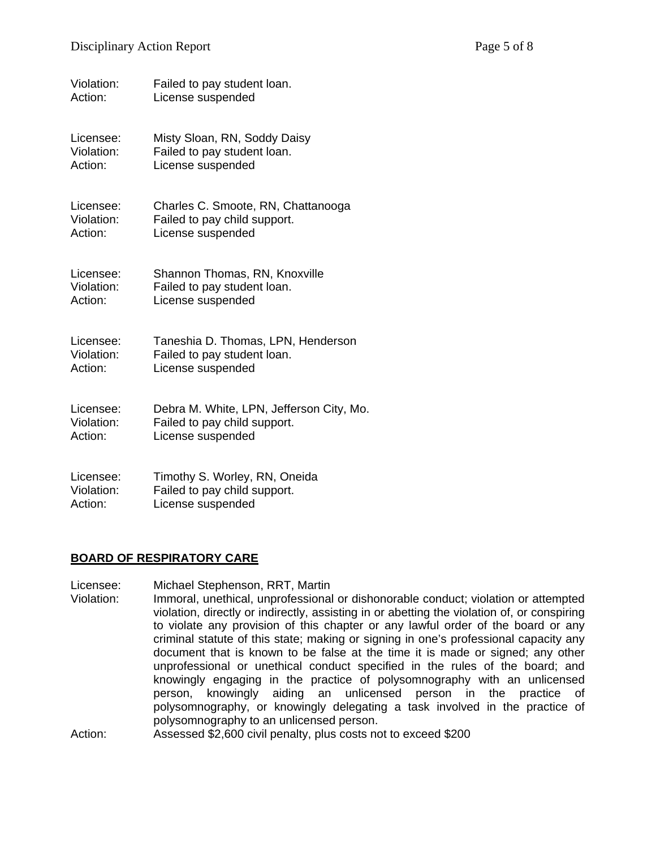| Violation: | Failed to pay student loan.              |
|------------|------------------------------------------|
| Action:    | License suspended                        |
| Licensee:  | Misty Sloan, RN, Soddy Daisy             |
| Violation: | Failed to pay student loan.              |
| Action:    | License suspended                        |
| Licensee:  | Charles C. Smoote, RN, Chattanooga       |
| Violation: | Failed to pay child support.             |
| Action:    | License suspended                        |
| Licensee:  | Shannon Thomas, RN, Knoxville            |
| Violation: | Failed to pay student loan.              |
| Action:    | License suspended                        |
| Licensee:  | Taneshia D. Thomas, LPN, Henderson       |
| Violation: | Failed to pay student loan.              |
| Action:    | License suspended                        |
| Licensee:  | Debra M. White, LPN, Jefferson City, Mo. |
| Violation: | Failed to pay child support.             |
| Action:    | License suspended                        |
| Licensee:  | Timothy S. Worley, RN, Oneida            |
| Violation: | Failed to pay child support.             |
| Action:    | License suspended                        |

#### **BOARD OF RESPIRATORY CARE**

- Licensee: Michael Stephenson, RRT, Martin<br>Violation: Immoral. unethical. unprofessional
- Immoral, unethical, unprofessional or dishonorable conduct; violation or attempted violation, directly or indirectly, assisting in or abetting the violation of, or conspiring to violate any provision of this chapter or any lawful order of the board or any criminal statute of this state; making or signing in one's professional capacity any document that is known to be false at the time it is made or signed; any other unprofessional or unethical conduct specified in the rules of the board; and knowingly engaging in the practice of polysomnography with an unlicensed person, knowingly aiding an unlicensed person in the practice of polysomnography, or knowingly delegating a task involved in the practice of polysomnography to an unlicensed person.
- Action: Assessed \$2,600 civil penalty, plus costs not to exceed \$200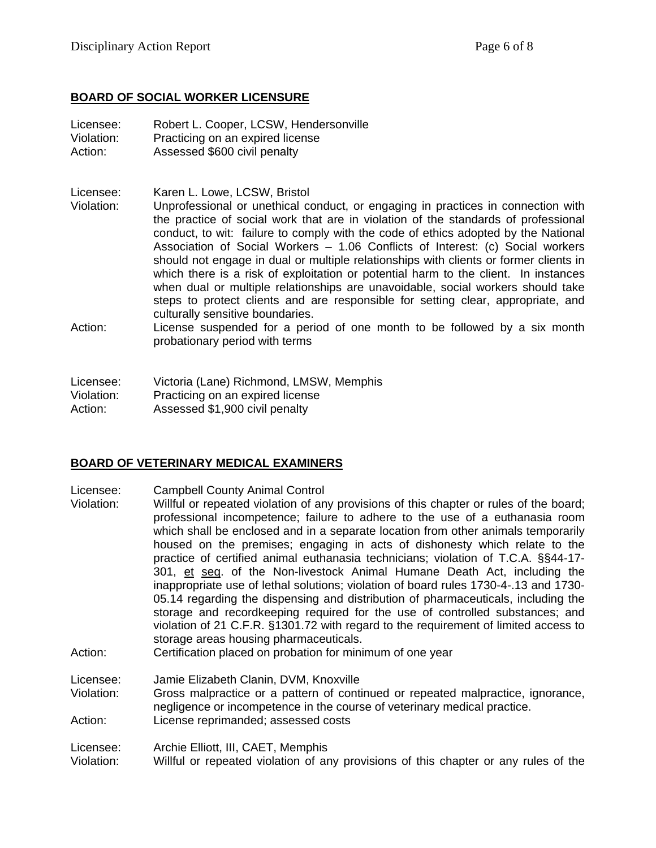#### **BOARD OF SOCIAL WORKER LICENSURE**

Licensee: Robert L. Cooper, LCSW, Hendersonville Violation: Practicing on an expired license Action: Assessed \$600 civil penalty

Licensee: Karen L. Lowe, LCSW, Bristol

- Unprofessional or unethical conduct, or engaging in practices in connection with the practice of social work that are in violation of the standards of professional conduct, to wit: failure to comply with the code of ethics adopted by the National Association of Social Workers – 1.06 Conflicts of Interest: (c) Social workers should not engage in dual or multiple relationships with clients or former clients in which there is a risk of exploitation or potential harm to the client. In instances when dual or multiple relationships are unavoidable, social workers should take steps to protect clients and are responsible for setting clear, appropriate, and culturally sensitive boundaries.
- Action: License suspended for a period of one month to be followed by a six month probationary period with terms

| Licensee:  | Victoria (Lane) Richmond, LMSW, Memphis |
|------------|-----------------------------------------|
| Violation: | Practicing on an expired license        |
| Action:    | Assessed \$1,900 civil penalty          |

#### **BOARD OF VETERINARY MEDICAL EXAMINERS**

- Licensee: Campbell County Animal Control
- Violation: Willful or repeated violation of any provisions of this chapter or rules of the board; professional incompetence; failure to adhere to the use of a euthanasia room which shall be enclosed and in a separate location from other animals temporarily housed on the premises; engaging in acts of dishonesty which relate to the practice of certified animal euthanasia technicians; violation of T.C.A. §§44-17- 301, et seq. of the Non-livestock Animal Humane Death Act, including the inappropriate use of lethal solutions; violation of board rules 1730-4-.13 and 1730- 05.14 regarding the dispensing and distribution of pharmaceuticals, including the storage and recordkeeping required for the use of controlled substances; and violation of 21 C.F.R. §1301.72 with regard to the requirement of limited access to storage areas housing pharmaceuticals.
- Action: Certification placed on probation for minimum of one year

Licensee: Jamie Elizabeth Clanin, DVM, Knoxville Violation: Gross malpractice or a pattern of continued or repeated malpractice, ignorance, negligence or incompetence in the course of veterinary medical practice. Action: License reprimanded; assessed costs

Licensee: Archie Elliott, III, CAET, Memphis

Violation: Willful or repeated violation of any provisions of this chapter or any rules of the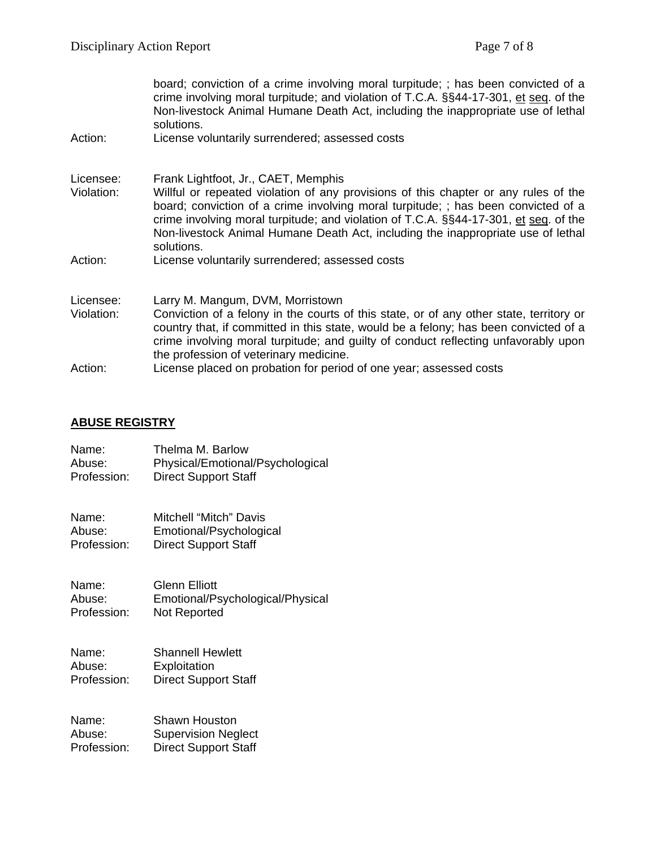|                         | board; conviction of a crime involving moral turpitude; ; has been convicted of a<br>crime involving moral turpitude; and violation of T.C.A. §§44-17-301, et seq. of the<br>Non-livestock Animal Humane Death Act, including the inappropriate use of lethal<br>solutions.                                     |
|-------------------------|-----------------------------------------------------------------------------------------------------------------------------------------------------------------------------------------------------------------------------------------------------------------------------------------------------------------|
| Action:                 | License voluntarily surrendered; assessed costs                                                                                                                                                                                                                                                                 |
| Licensee:<br>Violation: | Frank Lightfoot, Jr., CAET, Memphis<br>Willful or repeated violation of any provisions of this chapter or any rules of the                                                                                                                                                                                      |
|                         | board; conviction of a crime involving moral turpitude; ; has been convicted of a<br>crime involving moral turpitude; and violation of T.C.A. §§44-17-301, et seq. of the<br>Non-livestock Animal Humane Death Act, including the inappropriate use of lethal<br>solutions.                                     |
| Action:                 | License voluntarily surrendered; assessed costs                                                                                                                                                                                                                                                                 |
| Licensee:               | Larry M. Mangum, DVM, Morristown                                                                                                                                                                                                                                                                                |
| Violation:              | Conviction of a felony in the courts of this state, or of any other state, territory or<br>country that, if committed in this state, would be a felony; has been convicted of a<br>crime involving moral turpitude; and guilty of conduct reflecting unfavorably upon<br>the profession of veterinary medicine. |
| Action:                 | License placed on probation for period of one year; assessed costs                                                                                                                                                                                                                                              |

#### **ABUSE REGISTRY**

| Name:       | Thelma M. Barlow                 |
|-------------|----------------------------------|
| Abuse:      | Physical/Emotional/Psychological |
| Profession: | <b>Direct Support Staff</b>      |

| Name:       | <b>Mitchell "Mitch" Davis</b> |
|-------------|-------------------------------|
| Abuse:      | Emotional/Psychological       |
| Profession: | <b>Direct Support Staff</b>   |

Name: Glenn Elliott<br>Abuse: Emotional/Ps Abuse: Emotional/Psychological/Physical<br>Profession: Not Reported Not Reported

Name: Shannell Hewlett<br>Abuse: Exploitation Abuse: Exploitation<br>Profession: Direct Suppo **Direct Support Staff** 

Name: Shawn Houston<br>Abuse: Supervision Neg Abuse: Supervision Neglect<br>Profession: Direct Support Staff **Direct Support Staff**